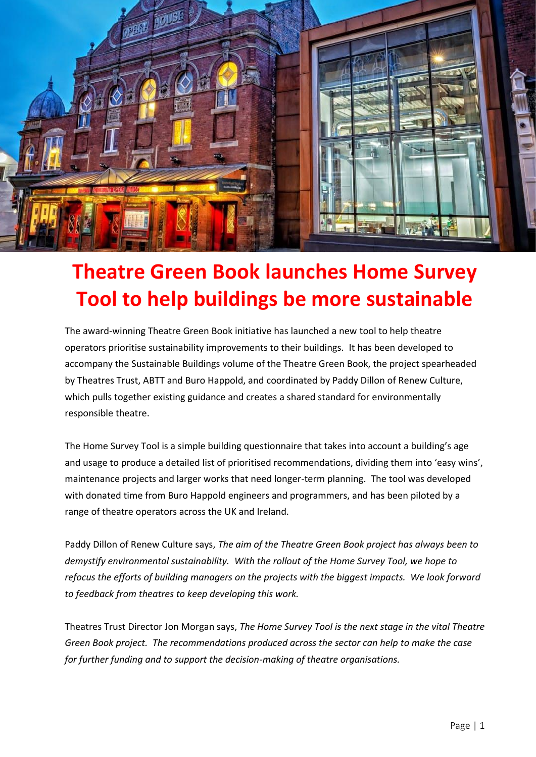

## **Theatre Green Book launches Home Survey Tool to help buildings be more sustainable**

The award-winning Theatre Green Book initiative has launched a new tool to help theatre operators prioritise sustainability improvements to their buildings. It has been developed to accompany the Sustainable Buildings volume of the Theatre Green Book, the project spearheaded by Theatres Trust, ABTT and Buro Happold, and coordinated by Paddy Dillon of Renew Culture, which pulls together existing guidance and creates a shared standard for environmentally responsible theatre.

The Home Survey Tool is a simple building questionnaire that takes into account a building's age and usage to produce a detailed list of prioritised recommendations, dividing them into 'easy wins', maintenance projects and larger works that need longer-term planning. The tool was developed with donated time from Buro Happold engineers and programmers, and has been piloted by a range of theatre operators across the UK and Ireland.

Paddy Dillon of Renew Culture says, *The aim of the Theatre Green Book project has always been to demystify environmental sustainability. With the rollout of the Home Survey Tool, we hope to refocus the efforts of building managers on the projects with the biggest impacts. We look forward to feedback from theatres to keep developing this work.*

Theatres Trust Director Jon Morgan says, *The Home Survey Tool is the next stage in the vital Theatre Green Book project. The recommendations produced across the sector can help to make the case for further funding and to support the decision-making of theatre organisations.*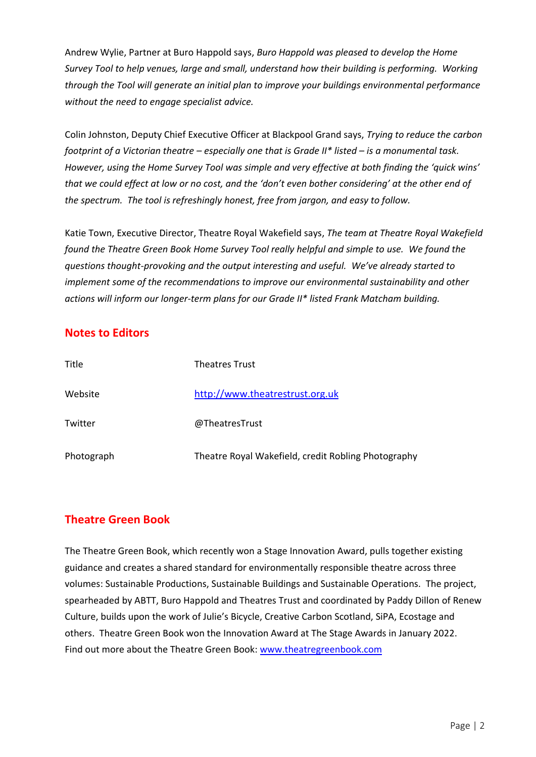Andrew Wylie, Partner at Buro Happold says, *Buro Happold was pleased to develop the Home Survey Tool to help venues, large and small, understand how their building is performing. Working through the Tool will generate an initial plan to improve your buildings environmental performance without the need to engage specialist advice.*

Colin Johnston, Deputy Chief Executive Officer at Blackpool Grand says, *Trying to reduce the carbon footprint of a Victorian theatre – especially one that is Grade II\* listed – is a monumental task. However, using the Home Survey Tool was simple and very effective at both finding the 'quick wins' that we could effect at low or no cost, and the 'don't even bother considering' at the other end of the spectrum. The tool is refreshingly honest, free from jargon, and easy to follow.*

Katie Town, Executive Director, Theatre Royal Wakefield says, *The team at Theatre Royal Wakefield found the Theatre Green Book Home Survey Tool really helpful and simple to use. We found the questions thought-provoking and the output interesting and useful. We've already started to implement some of the recommendations to improve our environmental sustainability and other actions will inform our longer-term plans for our Grade II\* listed Frank Matcham building.*

## **Notes to Editors**

| Title      | <b>Theatres Trust</b>                               |
|------------|-----------------------------------------------------|
| Website    | http://www.theatrestrust.org.uk                     |
| Twitter    | @TheatresTrust                                      |
| Photograph | Theatre Royal Wakefield, credit Robling Photography |

## **Theatre Green Book**

The Theatre Green Book, which recently won a Stage Innovation Award, pulls together existing guidance and creates a shared standard for environmentally responsible theatre across three volumes: Sustainable Productions, Sustainable Buildings and Sustainable Operations. The project, spearheaded by ABTT, Buro Happold and Theatres Trust and coordinated by Paddy Dillon of Renew Culture, builds upon the work of Julie's Bicycle, Creative Carbon Scotland, SiPA, Ecostage and others. Theatre Green Book won the Innovation Award at The Stage Awards in January 2022. Find out more about the Theatre Green Book: [www.theatregreenbook.com](http://www.theatregreenbook.com/)